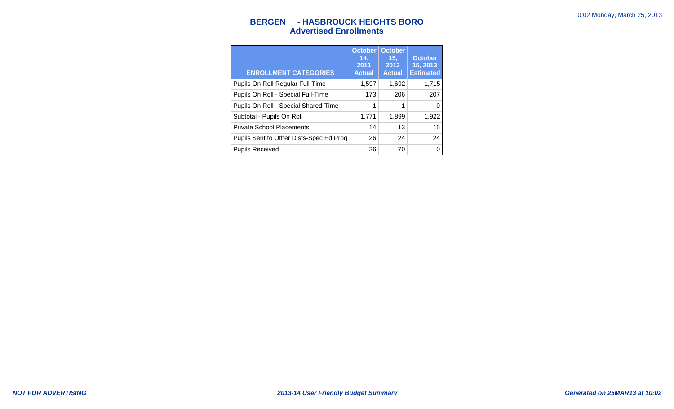## **BERGEN - HASBROUCK HEIGHTS BORO Advertised Enrollments**

| <b>ENROLLMENT CATEGORIES</b>            | <b>October</b><br>14.<br>2011<br><b>Actual</b> | <b>October</b><br>15.<br>2012<br><b>Actual</b> | <b>October</b><br>15, 2013<br><b>Estimated</b> |
|-----------------------------------------|------------------------------------------------|------------------------------------------------|------------------------------------------------|
| Pupils On Roll Regular Full-Time        | 1,597                                          | 1,692                                          | 1,715                                          |
| Pupils On Roll - Special Full-Time      | 173                                            | 206                                            | 207                                            |
| Pupils On Roll - Special Shared-Time    | 1                                              | 1                                              | 0                                              |
| Subtotal - Pupils On Roll               | 1,771                                          | 1,899                                          | 1,922                                          |
| <b>Private School Placements</b>        | 14                                             | 13                                             | 15                                             |
| Pupils Sent to Other Dists-Spec Ed Prog | 26                                             | 24                                             | 24                                             |
| <b>Pupils Received</b>                  | 26                                             | 70                                             | 0                                              |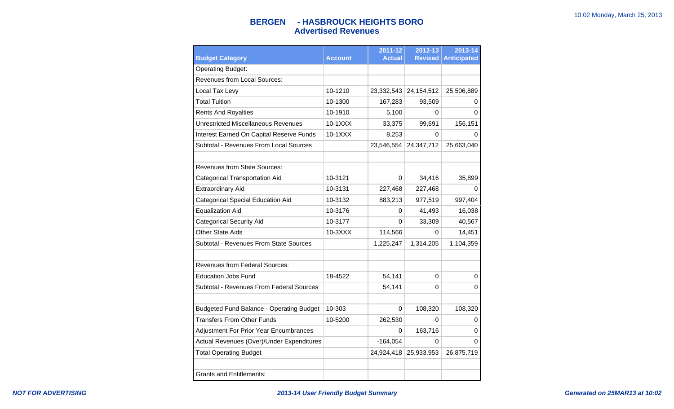## **BERGEN - HASBROUCK HEIGHTS BORO Advertised Revenues**

| <b>Budget Category</b>                          | <b>Account</b> | 2011-12<br><b>Actual</b> | 2012-13<br><b>Revised</b> | 2013-14<br><b>Anticipated</b> |
|-------------------------------------------------|----------------|--------------------------|---------------------------|-------------------------------|
| <b>Operating Budget:</b>                        |                |                          |                           |                               |
| <b>Revenues from Local Sources:</b>             |                |                          |                           |                               |
| Local Tax Levy                                  | 10-1210        | 23,332,543               | 24, 154, 512              | 25,506,889                    |
| <b>Total Tuition</b>                            | 10-1300        | 167,283                  | 93,509                    | 0                             |
| <b>Rents And Royalties</b>                      | 10-1910        | 5,100                    | 0                         | $\Omega$                      |
| <b>Unrestricted Miscellaneous Revenues</b>      | 10-1XXX        | 33,375                   | 99,691                    | 156,151                       |
| Interest Earned On Capital Reserve Funds        | 10-1XXX        | 8,253                    | 0                         | 0                             |
| Subtotal - Revenues From Local Sources          |                | 23,546,554               | 24,347,712                | 25,663,040                    |
| <b>Revenues from State Sources:</b>             |                |                          |                           |                               |
| <b>Categorical Transportation Aid</b>           | 10-3121        | 0                        | 34,416                    | 35,899                        |
| <b>Extraordinary Aid</b>                        | 10-3131        | 227,468                  | 227,468                   | 0                             |
| <b>Categorical Special Education Aid</b>        | 10-3132        | 883,213                  | 977,519                   | 997,404                       |
| <b>Equalization Aid</b>                         | 10-3176        | 0                        | 41,493                    | 16,038                        |
| <b>Categorical Security Aid</b>                 | 10-3177        | 0                        | 33,309                    | 40,567                        |
| <b>Other State Aids</b>                         | $10-3XXX$      | 114,566                  | 0                         | 14,451                        |
| Subtotal - Revenues From State Sources          |                | 1,225,247                | 1,314,205                 | 1,104,359                     |
| Revenues from Federal Sources:                  |                |                          |                           |                               |
| <b>Education Jobs Fund</b>                      | 18-4522        | 54,141                   | 0                         | 0                             |
| Subtotal - Revenues From Federal Sources        |                | 54,141                   | 0                         | 0                             |
| <b>Budgeted Fund Balance - Operating Budget</b> | 10-303         | 0                        | 108,320                   | 108,320                       |
| <b>Transfers From Other Funds</b>               | 10-5200        | 262,530                  | 0                         | 0                             |
| <b>Adjustment For Prior Year Encumbrances</b>   |                | 0                        | 163,716                   | 0                             |
| Actual Revenues (Over)/Under Expenditures       |                | $-164,054$               | 0                         | $\Omega$                      |
| <b>Total Operating Budget</b>                   |                | 24,924,418               | 25,933,953                | 26,875,719                    |
| <b>Grants and Entitlements:</b>                 |                |                          |                           |                               |
|                                                 |                |                          |                           |                               |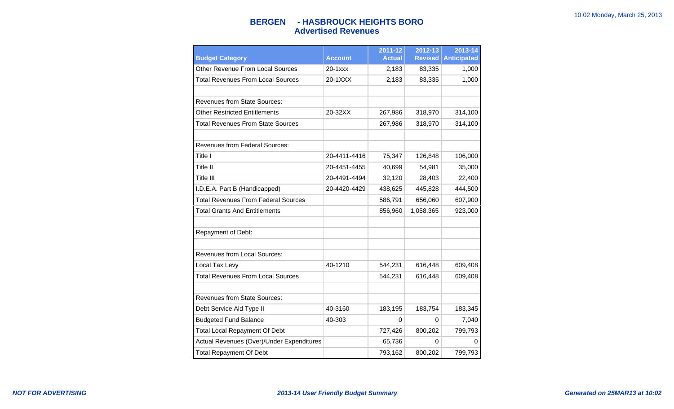## **BERGEN - HASBROUCK HEIGHTS BORO Advertised Revenues**

| <b>Budget Category</b>                     | <b>Account</b> | 2011-12<br><b>Actual</b> | 2012-13<br><b>Revised</b> | 2013-14<br><b>Anticipated</b> |
|--------------------------------------------|----------------|--------------------------|---------------------------|-------------------------------|
| <b>Other Revenue From Local Sources</b>    | 20-1xxx        | 2,183                    | 83,335                    | 1,000                         |
| <b>Total Revenues From Local Sources</b>   | 20-1XXX        | 2,183                    | 83,335                    | 1,000                         |
|                                            |                |                          |                           |                               |
| <b>Revenues from State Sources:</b>        |                |                          |                           |                               |
| <b>Other Restricted Entitlements</b>       | 20-32XX        | 267,986                  | 318,970                   | 314,100                       |
| <b>Total Revenues From State Sources</b>   |                | 267,986                  | 318,970                   | 314,100                       |
|                                            |                |                          |                           |                               |
| <b>Revenues from Federal Sources:</b>      |                |                          |                           |                               |
| Title I                                    | 20-4411-4416   | 75,347                   | 126,848                   | 106,000                       |
| Title II                                   | 20-4451-4455   | 40,699                   | 54,981                    | 35,000                        |
| Title III                                  | 20-4491-4494   | 32,120                   | 28,403                    | 22,400                        |
| I.D.E.A. Part B (Handicapped)              | 20-4420-4429   | 438,625                  | 445,828                   | 444,500                       |
| <b>Total Revenues From Federal Sources</b> |                | 586,791                  | 656,060                   | 607,900                       |
| <b>Total Grants And Entitlements</b>       |                | 856,960                  | 1,058,365                 | 923,000                       |
|                                            |                |                          |                           |                               |
| Repayment of Debt:                         |                |                          |                           |                               |
|                                            |                |                          |                           |                               |
| <b>Revenues from Local Sources:</b>        |                |                          |                           |                               |
| Local Tax Levy                             | 40-1210        | 544,231                  | 616,448                   | 609,408                       |
| <b>Total Revenues From Local Sources</b>   |                | 544,231                  | 616,448                   | 609,408                       |
|                                            |                |                          |                           |                               |
| <b>Revenues from State Sources:</b>        |                |                          |                           |                               |
| Debt Service Aid Type II                   | 40-3160        | 183,195                  | 183,754                   | 183,345                       |
| <b>Budgeted Fund Balance</b>               | 40-303         | 0                        | 0                         | 7,040                         |
| <b>Total Local Repayment Of Debt</b>       |                | 727,426                  | 800,202                   | 799,793                       |
| Actual Revenues (Over)/Under Expenditures  |                | 65,736                   | 0                         | 0                             |
| <b>Total Repayment Of Debt</b>             |                | 793,162                  | 800,202                   | 799,793                       |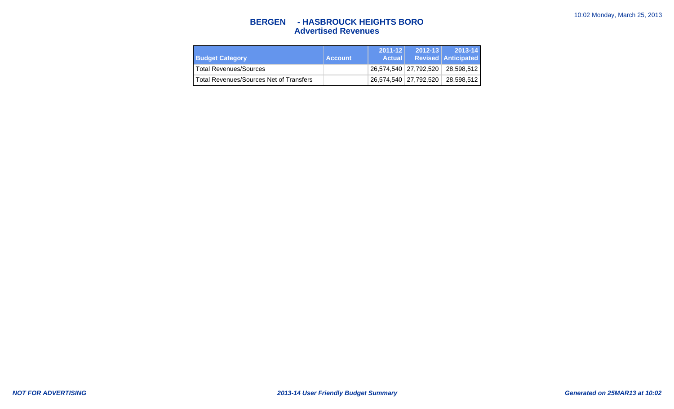## **BERGEN - HASBROUCK HEIGHTS BORO Advertised Revenues**

| <b>Budget Category</b>                  | ∣ Account | $2011 - 12$<br><b>Actual</b> | $2012 - 13$ | $2013 - 14$<br><b>Revised Anticipated</b> |
|-----------------------------------------|-----------|------------------------------|-------------|-------------------------------------------|
| l Total Revenues/Sources                |           |                              |             | 26,574,540   27,792,520   28,598,512      |
| Total Revenues/Sources Net of Transfers |           |                              |             | 26,574,540   27,792,520   28,598,512      |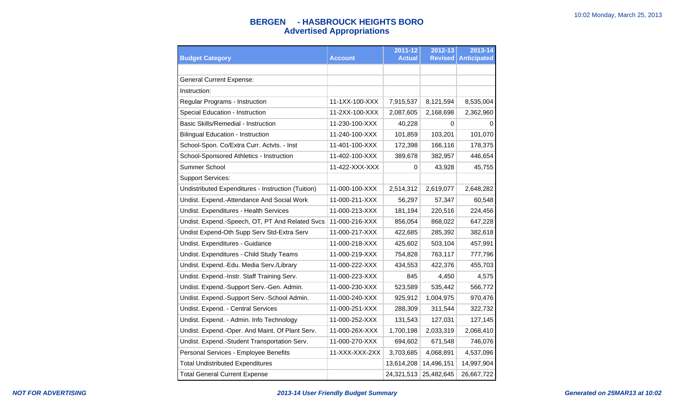# **BERGEN - HASBROUCK HEIGHTS BORO Advertised Appropriations**

| <b>Budget Category</b>                             | <b>Account</b> | 2011-12<br><b>Actual</b> | 2012-13<br><b>Revised</b> | 2013-14<br><b>Anticipated</b> |
|----------------------------------------------------|----------------|--------------------------|---------------------------|-------------------------------|
|                                                    |                |                          |                           |                               |
| <b>General Current Expense:</b>                    |                |                          |                           |                               |
| Instruction:                                       |                |                          |                           |                               |
| Regular Programs - Instruction                     | 11-1XX-100-XXX | 7,915,537                | 8,121,594                 | 8,535,004                     |
| Special Education - Instruction                    | 11-2XX-100-XXX | 2,087,605                | 2,168,698                 | 2,362,960                     |
| <b>Basic Skills/Remedial - Instruction</b>         | 11-230-100-XXX | 40,228                   | 0                         | $\Omega$                      |
| <b>Bilingual Education - Instruction</b>           | 11-240-100-XXX | 101,859                  | 103,201                   | 101,070                       |
| School-Spon. Co/Extra Curr. Actvts. - Inst         | 11-401-100-XXX | 172,398                  | 166,116                   | 178,375                       |
| School-Sponsored Athletics - Instruction           | 11-402-100-XXX | 389,678                  | 382,957                   | 446,654                       |
| Summer School                                      | 11-422-XXX-XXX | 0                        | 43,928                    | 45,755                        |
| <b>Support Services:</b>                           |                |                          |                           |                               |
| Undistributed Expenditures - Instruction (Tuition) | 11-000-100-XXX | 2,514,312                | 2,619,077                 | 2,648,282                     |
| Undist. Expend.-Attendance And Social Work         | 11-000-211-XXX | 56,297                   | 57,347                    | 60,548                        |
| Undist. Expenditures - Health Services             | 11-000-213-XXX | 181,194                  | 220,516                   | 224,456                       |
| Undist. Expend.-Speech, OT, PT And Related Svcs    | 11-000-216-XXX | 856,054                  | 868,022                   | 647,228                       |
| Undist Expend-Oth Supp Serv Std-Extra Serv         | 11-000-217-XXX | 422,685                  | 285,392                   | 382,618                       |
| Undist. Expenditures - Guidance                    | 11-000-218-XXX | 425,602                  | 503,104                   | 457,991                       |
| Undist. Expenditures - Child Study Teams           | 11-000-219-XXX | 754,828                  | 763,117                   | 777,796                       |
| Undist. Expend.-Edu. Media Serv./Library           | 11-000-222-XXX | 434,553                  | 422,376                   | 455,703                       |
| Undist. Expend.-Instr. Staff Training Serv.        | 11-000-223-XXX | 845                      | 4,450                     | 4,575                         |
| Undist. Expend.-Support Serv.-Gen. Admin.          | 11-000-230-XXX | 523,589                  | 535,442                   | 566,772                       |
| Undist. Expend.-Support Serv.-School Admin.        | 11-000-240-XXX | 925,912                  | 1,004,975                 | 970,476                       |
| Undist. Expend. - Central Services                 | 11-000-251-XXX | 288,309                  | 311,544                   | 322,732                       |
| Undist. Expend. - Admin. Info Technology           | 11-000-252-XXX | 131,543                  | 127,031                   | 127,145                       |
| Undist. Expend.-Oper. And Maint. Of Plant Serv.    | 11-000-26X-XXX | 1,700,198                | 2,033,319                 | 2,068,410                     |
| Undist. Expend.-Student Transportation Serv.       | 11-000-270-XXX | 694,602                  | 671,548                   | 746,076                       |
| Personal Services - Employee Benefits              | 11-XXX-XXX-2XX | 3,703,685                | 4,068,891                 | 4,537,096                     |
| <b>Total Undistributed Expenditures</b>            |                | 13,614,208               | 14,496,151                | 14,997,904                    |
| <b>Total General Current Expense</b>               |                | 24,321,513               | 25,482,645                | 26,667,722                    |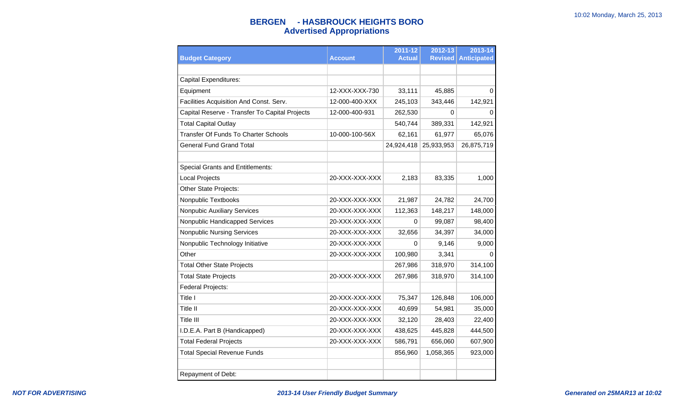# **BERGEN - HASBROUCK HEIGHTS BORO Advertised Appropriations**

| <b>Budget Category</b>                         | <b>Account</b> | 2011-12<br>Actual | 2012-13<br><b>Revised</b> | 2013-14<br><b>Anticipated</b> |
|------------------------------------------------|----------------|-------------------|---------------------------|-------------------------------|
|                                                |                |                   |                           |                               |
| <b>Capital Expenditures:</b>                   |                |                   |                           |                               |
| Equipment                                      | 12-XXX-XXX-730 | 33,111            | 45,885                    | 0                             |
| Facilities Acquisition And Const. Serv.        | 12-000-400-XXX | 245,103           | 343,446                   | 142,921                       |
| Capital Reserve - Transfer To Capital Projects | 12-000-400-931 | 262,530           | 0                         | 0                             |
| <b>Total Capital Outlay</b>                    |                | 540,744           | 389,331                   | 142,921                       |
| Transfer Of Funds To Charter Schools           | 10-000-100-56X | 62,161            | 61,977                    | 65,076                        |
| <b>General Fund Grand Total</b>                |                | 24,924,418        | 25,933,953                | 26,875,719                    |
|                                                |                |                   |                           |                               |
| <b>Special Grants and Entitlements:</b>        |                |                   |                           |                               |
| Local Projects                                 | 20-XXX-XXX-XXX | 2,183             | 83,335                    | 1,000                         |
| Other State Projects:                          |                |                   |                           |                               |
| Nonpublic Textbooks                            | 20-XXX-XXX-XXX | 21,987            | 24,782                    | 24,700                        |
| <b>Nonpubic Auxiliary Services</b>             | 20-XXX-XXX-XXX | 112,363           | 148,217                   | 148,000                       |
| Nonpublic Handicapped Services                 | 20-XXX-XXX-XXX | 0                 | 99,087                    | 98,400                        |
| <b>Nonpublic Nursing Services</b>              | 20-XXX-XXX-XXX | 32,656            | 34,397                    | 34,000                        |
| Nonpublic Technology Initiative                | 20-XXX-XXX-XXX | 0                 | 9,146                     | 9,000                         |
| Other                                          | 20-XXX-XXX-XXX | 100,980           | 3,341                     | 0                             |
| <b>Total Other State Projects</b>              |                | 267,986           | 318,970                   | 314,100                       |
| <b>Total State Projects</b>                    | 20-XXX-XXX-XXX | 267,986           | 318,970                   | 314,100                       |
| Federal Projects:                              |                |                   |                           |                               |
| Title I                                        | 20-XXX-XXX-XXX | 75,347            | 126,848                   | 106,000                       |
| <b>Title II</b>                                | 20-XXX-XXX-XXX | 40,699            | 54,981                    | 35,000                        |
| Title III                                      | 20-XXX-XXX-XXX | 32,120            | 28,403                    | 22,400                        |
| I.D.E.A. Part B (Handicapped)                  | 20-XXX-XXX-XXX | 438,625           | 445,828                   | 444,500                       |
| <b>Total Federal Projects</b>                  | 20-XXX-XXX-XXX | 586,791           | 656,060                   | 607,900                       |
| <b>Total Special Revenue Funds</b>             |                | 856,960           | 1,058,365                 | 923,000                       |
|                                                |                |                   |                           |                               |
| Repayment of Debt:                             |                |                   |                           |                               |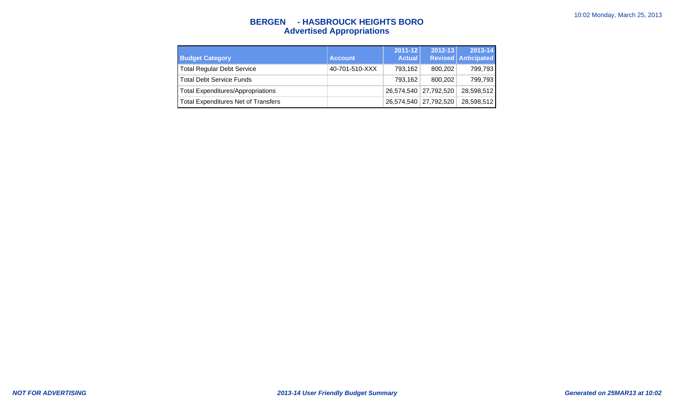# **BERGEN - HASBROUCK HEIGHTS BORO Advertised Appropriations**

| <b>Budget Category</b>                     | <b>Account</b> | $2011 - 12$<br><b>Actual</b> | $2012 - 13$             | 2013-14<br><b>Revised Anticipated</b> |
|--------------------------------------------|----------------|------------------------------|-------------------------|---------------------------------------|
| <b>Total Regular Debt Service</b>          | 40-701-510-XXX | 793,162                      | 800.202                 | 799,793                               |
| <b>Total Debt Service Funds</b>            |                | 793.162                      | 800.202                 | 799,793                               |
| <b>Total Expenditures/Appropriations</b>   |                |                              | 26,574,540 27,792,520   | 28,598,512                            |
| <b>Total Expenditures Net of Transfers</b> |                |                              | 26,574,540   27,792,520 | 28,598,512                            |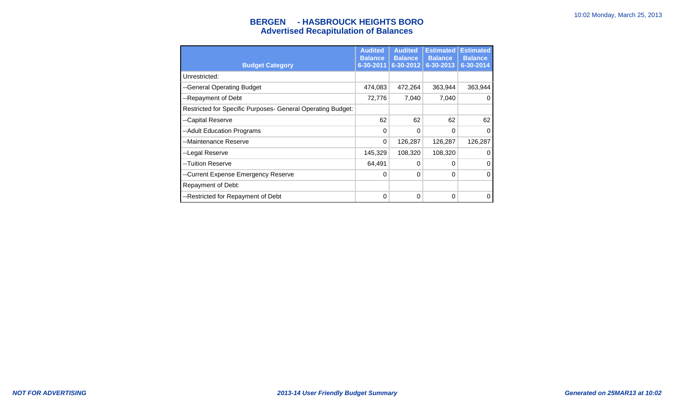# **BERGEN - HASBROUCK HEIGHTS BORO Advertised Recapitulation of Balances**

|                                                             | <b>Audited</b><br><b>Balance</b> | <b>Audited</b><br><b>Balance</b> | <b>Estimated</b><br><b>Balance</b> | <b>Estimated</b><br><b>Balance</b> |
|-------------------------------------------------------------|----------------------------------|----------------------------------|------------------------------------|------------------------------------|
| <b>Budget Category</b>                                      | 6-30-2011                        | 6-30-2012                        | 6-30-2013                          | 6-30-2014                          |
| Unrestricted:                                               |                                  |                                  |                                    |                                    |
| --General Operating Budget                                  | 474,083                          | 472,264                          | 363,944                            | 363,944                            |
| --Repayment of Debt                                         | 72,776                           | 7,040                            | 7,040                              | 0                                  |
| Restricted for Specific Purposes- General Operating Budget: |                                  |                                  |                                    |                                    |
| --Capital Reserve                                           | 62                               | 62                               | 62                                 | 62                                 |
| --Adult Education Programs                                  | $\Omega$                         | $\Omega$                         | 0                                  | 0                                  |
| --Maintenance Reserve                                       | $\Omega$                         | 126,287                          | 126,287                            | 126,287                            |
| --Legal Reserve                                             | 145,329                          | 108,320                          | 108,320                            | 0                                  |
| --Tuition Reserve                                           | 64,491                           | 0                                | 0                                  | 0                                  |
| --Current Expense Emergency Reserve                         | $\Omega$                         | $\Omega$                         | 0                                  | 0                                  |
| Repayment of Debt:                                          |                                  |                                  |                                    |                                    |
| --Restricted for Repayment of Debt                          | 0                                | $\Omega$                         | 0                                  | 0                                  |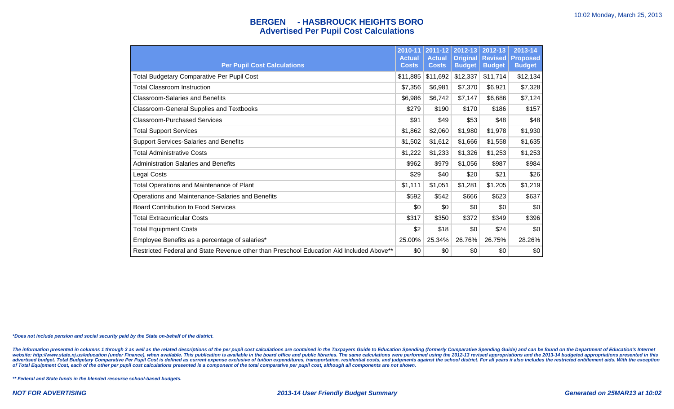### **BERGEN - HASBROUCK HEIGHTS BORO Advertised Per Pupil Cost Calculations**

| <b>Per Pupil Cost Calculations</b>                                                       | 2010-11<br><b>Actual</b><br><b>Costs</b> | 2011-12<br><b>Actual</b><br><b>Costs</b> | 2012-13<br><b>Original</b><br><b>Budget</b> | 2012-13<br><b>Revised</b><br><b>Budget</b> | 2013-14<br><b>Proposed</b><br><b>Budget</b> |
|------------------------------------------------------------------------------------------|------------------------------------------|------------------------------------------|---------------------------------------------|--------------------------------------------|---------------------------------------------|
| <b>Total Budgetary Comparative Per Pupil Cost</b>                                        | \$11,885                                 | \$11,692                                 | \$12,337                                    | \$11,714                                   | \$12,134                                    |
| <b>Total Classroom Instruction</b>                                                       | \$7,356                                  | \$6,981                                  | \$7,370                                     | \$6,921                                    | \$7,328                                     |
| <b>Classroom-Salaries and Benefits</b>                                                   | \$6,986                                  | \$6,742                                  | \$7,147                                     | \$6,686                                    | \$7,124                                     |
| <b>Classroom-General Supplies and Textbooks</b>                                          | \$279                                    | \$190                                    | \$170                                       | \$186                                      | \$157                                       |
| <b>Classroom-Purchased Services</b>                                                      | \$91                                     | \$49                                     | \$53                                        | \$48                                       | \$48                                        |
| <b>Total Support Services</b>                                                            | \$1,862                                  | \$2,060                                  | \$1,980                                     | \$1,978                                    | \$1,930                                     |
| Support Services-Salaries and Benefits                                                   | \$1,502                                  | \$1,612                                  | \$1,666                                     | \$1,558                                    | \$1,635                                     |
| <b>Total Administrative Costs</b>                                                        | \$1,222                                  | \$1,233                                  | \$1,326                                     | \$1,253                                    | \$1,253                                     |
| <b>Administration Salaries and Benefits</b>                                              | \$962                                    | \$979                                    | \$1,056                                     | \$987                                      | \$984                                       |
| Legal Costs                                                                              | \$29                                     | \$40                                     | \$20                                        | \$21                                       | \$26                                        |
| Total Operations and Maintenance of Plant                                                | \$1,111                                  | \$1,051                                  | \$1,281                                     | \$1,205                                    | \$1,219                                     |
| Operations and Maintenance-Salaries and Benefits                                         | \$592                                    | \$542                                    | \$666                                       | \$623                                      | \$637                                       |
| <b>Board Contribution to Food Services</b>                                               | \$0                                      | \$0                                      | \$0                                         | \$0                                        | \$0                                         |
| <b>Total Extracurricular Costs</b>                                                       | \$317                                    | \$350                                    | \$372                                       | \$349                                      | \$396                                       |
| <b>Total Equipment Costs</b>                                                             | \$2                                      | \$18                                     | \$0                                         | \$24                                       | \$0                                         |
| Employee Benefits as a percentage of salaries*                                           | 25.00%                                   | 25.34%                                   | 26.76%                                      | 26.75%                                     | 28.26%                                      |
| Restricted Federal and State Revenue other than Preschool Education Aid Included Above** | \$0                                      | \$0                                      | \$0                                         | \$0                                        | \$0                                         |

**\*Does not include pension and social security paid by the State on-behalf of the district.**

The information presented in columns 1 through 3 as well as the related descriptions of the per pupil cost calculations are contained in the Taxpayers Guide to Education Spending (formerly Comparative Spending Guide) and c website: http://www.state.nj.us/education (under Finance), when available. This publication is available in the board office and public libraries. The same calculations were performed using the 2012-13 revised appropriatio

**\*\* Federal and State funds in the blended resource school-based budgets.**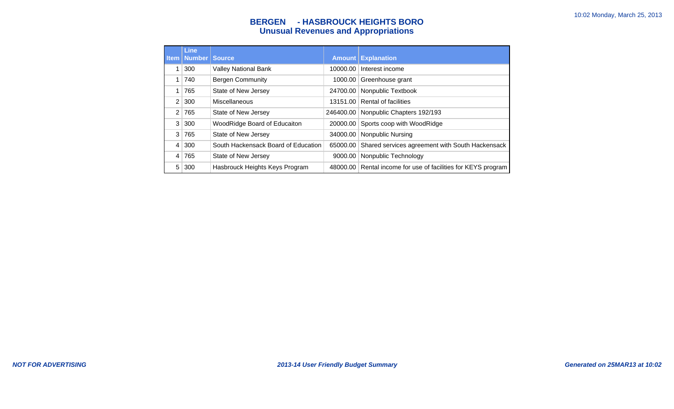# **BERGEN - HASBROUCK HEIGHTS BORO Unusual Revenues and Appropriations**

|      | <b>Line</b><br><b>Item   Number  </b> | <b>Source</b>                       |           | <b>Amount Explanation</b>                                     |
|------|---------------------------------------|-------------------------------------|-----------|---------------------------------------------------------------|
| 1    | 300                                   | <b>Valley National Bank</b>         | 10000.00  | Interest income                                               |
| 1.   | 740                                   | <b>Bergen Community</b>             | 1000.00   | Greenhouse grant                                              |
|      | 765                                   | State of New Jersey                 | 24700.00  | Nonpublic Textbook                                            |
| 2    | 300                                   | Miscellaneous                       | 13151.00  | Rental of facilities                                          |
| 2    | 765                                   | State of New Jersey                 | 246400.00 | Nonpublic Chapters 192/193                                    |
| 3    | 300                                   | WoodRidge Board of Educaiton        | 20000.00  | Sports coop with WoodRidge                                    |
| 3    | 765                                   | State of New Jersey                 | 34000.00  | <b>Nonpublic Nursing</b>                                      |
| 4    | 300                                   | South Hackensack Board of Education | 65000.00  | Shared services agreement with South Hackensack               |
| $-4$ | 765                                   | State of New Jersey                 | 9000.00   | Nonpublic Technology                                          |
| 5    | 300                                   | Hasbrouck Heights Keys Program      |           | 48000.00 Rental income for use of facilities for KEYS program |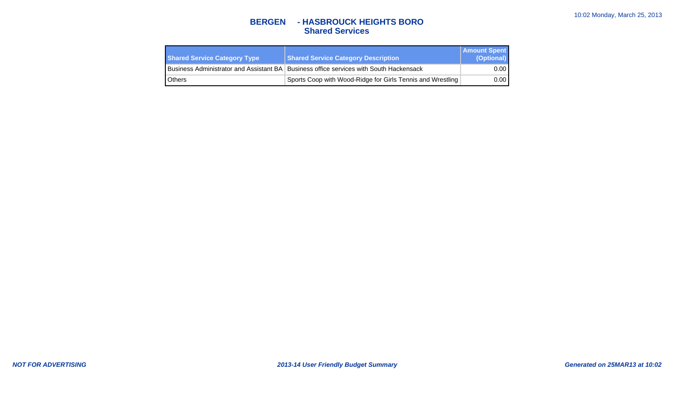## **BERGEN - HASBROUCK HEIGHTS BORO Shared Services**

| <b>Shared Service Category Type</b> | <b>Shared Service Category Description</b>                                               | <b>Amount Spent</b><br>(Optional) |
|-------------------------------------|------------------------------------------------------------------------------------------|-----------------------------------|
|                                     | Business Administrator and Assistant BA   Business office services with South Hackensack | 0.00                              |
| <b>Others</b>                       | Sports Coop with Wood-Ridge for Girls Tennis and Wrestling                               | 0.00                              |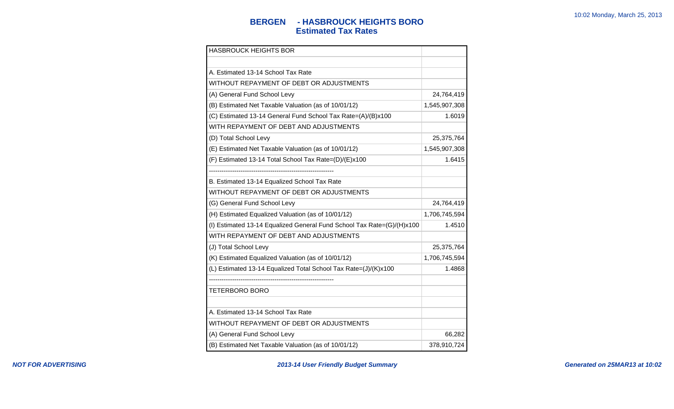## **BERGEN - HASBROUCK HEIGHTS BORO Estimated Tax Rates**

| <b>HASBROUCK HEIGHTS BOR</b>                                           |               |
|------------------------------------------------------------------------|---------------|
|                                                                        |               |
| A. Estimated 13-14 School Tax Rate                                     |               |
| WITHOUT REPAYMENT OF DEBT OR ADJUSTMENTS                               |               |
| (A) General Fund School Levy                                           | 24,764,419    |
| (B) Estimated Net Taxable Valuation (as of 10/01/12)                   | 1,545,907,308 |
| (C) Estimated 13-14 General Fund School Tax Rate=(A)/(B)x100           | 1.6019        |
| WITH REPAYMENT OF DEBT AND ADJUSTMENTS                                 |               |
| (D) Total School Levy                                                  | 25,375,764    |
| (E) Estimated Net Taxable Valuation (as of 10/01/12)                   | 1,545,907,308 |
| (F) Estimated 13-14 Total School Tax Rate=(D)/(E)x100                  | 1.6415        |
|                                                                        |               |
| B. Estimated 13-14 Equalized School Tax Rate                           |               |
| WITHOUT REPAYMENT OF DEBT OR ADJUSTMENTS                               |               |
| (G) General Fund School Levy                                           | 24,764,419    |
| (H) Estimated Equalized Valuation (as of 10/01/12)                     | 1,706,745,594 |
| (I) Estimated 13-14 Equalized General Fund School Tax Rate=(G)/(H)x100 | 1.4510        |
| WITH REPAYMENT OF DEBT AND ADJUSTMENTS                                 |               |
| (J) Total School Levy                                                  | 25,375,764    |
| (K) Estimated Equalized Valuation (as of 10/01/12)                     | 1,706,745,594 |
| (L) Estimated 13-14 Equalized Total School Tax Rate=(J)/(K)x100        | 1.4868        |
|                                                                        |               |
| <b>TETERBORO BORO</b>                                                  |               |
|                                                                        |               |
| A. Estimated 13-14 School Tax Rate                                     |               |
| WITHOUT REPAYMENT OF DEBT OR ADJUSTMENTS                               |               |
| (A) General Fund School Levy                                           | 66,282        |
| (B) Estimated Net Taxable Valuation (as of 10/01/12)                   | 378,910,724   |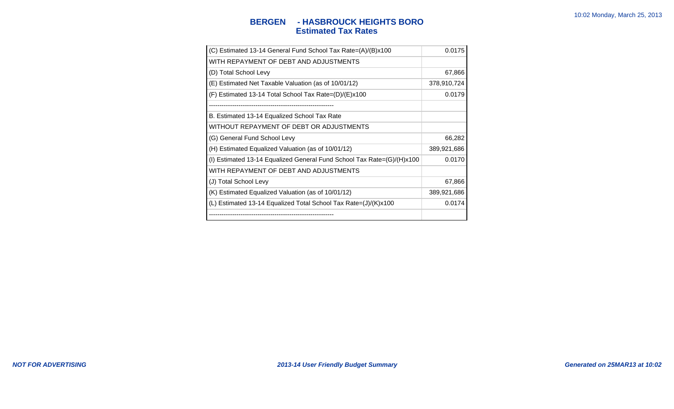## **BERGEN - HASBROUCK HEIGHTS BORO Estimated Tax Rates**

| (C) Estimated 13-14 General Fund School Tax Rate=(A)/(B)x100           | 0.0175      |
|------------------------------------------------------------------------|-------------|
| WITH REPAYMENT OF DEBT AND ADJUSTMENTS                                 |             |
| (D) Total School Levy                                                  | 67,866      |
| (E) Estimated Net Taxable Valuation (as of 10/01/12)                   | 378,910,724 |
| $(F)$ Estimated 13-14 Total School Tax Rate= $(D)/(E) \times 100$      | 0.0179      |
|                                                                        |             |
| B. Estimated 13-14 Equalized School Tax Rate                           |             |
| WITHOUT REPAYMENT OF DEBT OR ADJUSTMENTS                               |             |
| (G) General Fund School Levy                                           | 66,282      |
| (H) Estimated Equalized Valuation (as of 10/01/12)                     | 389,921,686 |
| (I) Estimated 13-14 Equalized General Fund School Tax Rate=(G)/(H)x100 | 0.0170      |
| WITH REPAYMENT OF DEBT AND ADJUSTMENTS                                 |             |
| (J) Total School Levy                                                  | 67,866      |
| (K) Estimated Equalized Valuation (as of 10/01/12)                     | 389,921,686 |
| (L) Estimated 13-14 Equalized Total School Tax Rate=(J)/(K)x100        | 0.0174      |
|                                                                        |             |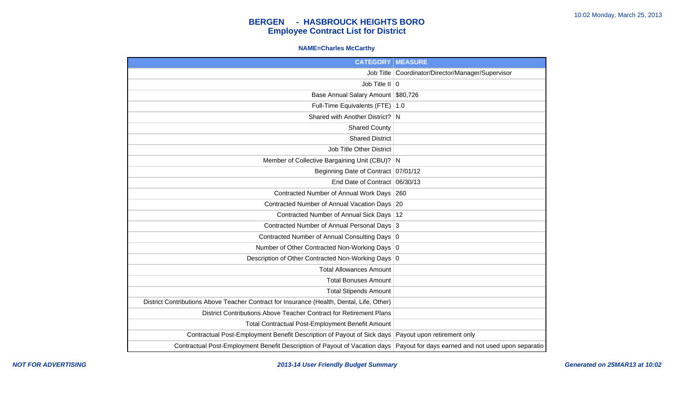### **NAME=Charles McCarthy**

| <b>CATEGORY</b>                                                                           | <b>MEASURE</b>                                     |
|-------------------------------------------------------------------------------------------|----------------------------------------------------|
| Job Title                                                                                 | Coordinator/Director/Manager/Supervisor            |
| Job Title II $\vert 0 \vert$                                                              |                                                    |
| Base Annual Salary Amount \$80,726                                                        |                                                    |
| Full-Time Equivalents (FTE)                                                               | 1.0                                                |
| Shared with Another District?                                                             | <sub>N</sub>                                       |
| <b>Shared County</b>                                                                      |                                                    |
| <b>Shared District</b>                                                                    |                                                    |
| <b>Job Title Other District</b>                                                           |                                                    |
| Member of Collective Bargaining Unit (CBU)? N                                             |                                                    |
| Beginning Date of Contract   07/01/12                                                     |                                                    |
| End Date of Contract 06/30/13                                                             |                                                    |
| Contracted Number of Annual Work Days   260                                               |                                                    |
| Contracted Number of Annual Vacation Days 20                                              |                                                    |
| Contracted Number of Annual Sick Days   12                                                |                                                    |
| Contracted Number of Annual Personal Days 3                                               |                                                    |
| Contracted Number of Annual Consulting Days 0                                             |                                                    |
| Number of Other Contracted Non-Working Days 0                                             |                                                    |
| Description of Other Contracted Non-Working Days 0                                        |                                                    |
| <b>Total Allowances Amount</b>                                                            |                                                    |
| <b>Total Bonuses Amount</b>                                                               |                                                    |
| <b>Total Stipends Amount</b>                                                              |                                                    |
| District Contributions Above Teacher Contract for Insurance (Health, Dental, Life, Other) |                                                    |
| District Contributions Above Teacher Contract for Retirement Plans                        |                                                    |
| Total Contractual Post-Employment Benefit Amount                                          |                                                    |
| Contractual Post-Employment Benefit Description of Payout of Sick days                    | Payout upon retirement only                        |
| Contractual Post-Employment Benefit Description of Payout of Vacation days                | Payout for days earned and not used upon separatio |

**NOT FOR ADVERTISING 2013-14 User Friendly Budget Summary Generated on 25MAR13 at 10:02**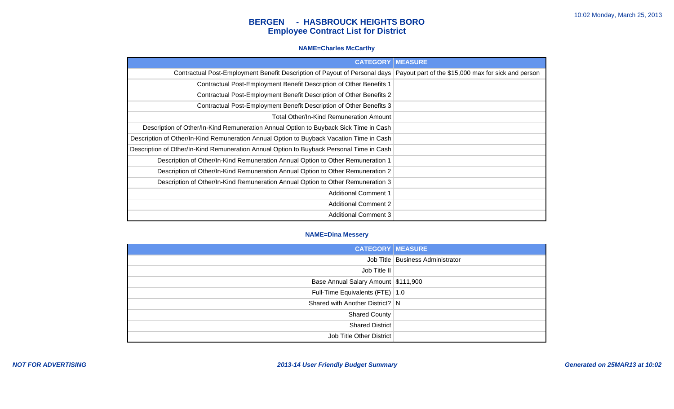#### **NAME=Charles McCarthy**

| <b>CATEGORY</b>                                                                          | <b>MEASURE</b>                                      |
|------------------------------------------------------------------------------------------|-----------------------------------------------------|
| Contractual Post-Employment Benefit Description of Payout of Personal days               | Payout part of the \$15,000 max for sick and person |
| Contractual Post-Employment Benefit Description of Other Benefits 1                      |                                                     |
| Contractual Post-Employment Benefit Description of Other Benefits 2                      |                                                     |
| Contractual Post-Employment Benefit Description of Other Benefits 3                      |                                                     |
| Total Other/In-Kind Remuneration Amount                                                  |                                                     |
| Description of Other/In-Kind Remuneration Annual Option to Buyback Sick Time in Cash     |                                                     |
| Description of Other/In-Kind Remuneration Annual Option to Buyback Vacation Time in Cash |                                                     |
| Description of Other/In-Kind Remuneration Annual Option to Buyback Personal Time in Cash |                                                     |
| Description of Other/In-Kind Remuneration Annual Option to Other Remuneration 1          |                                                     |
| Description of Other/In-Kind Remuneration Annual Option to Other Remuneration 2          |                                                     |
| Description of Other/In-Kind Remuneration Annual Option to Other Remuneration 3          |                                                     |
| <b>Additional Comment 1</b>                                                              |                                                     |
| <b>Additional Comment 2</b>                                                              |                                                     |
| <b>Additional Comment 3</b>                                                              |                                                     |

#### **NAME=Dina Messery**

| <b>CATEGORY   MEASURE</b>           |                                  |
|-------------------------------------|----------------------------------|
|                                     | Job Title Business Administrator |
| Job Title II                        |                                  |
| Base Annual Salary Amount \$111,900 |                                  |
| Full-Time Equivalents (FTE)   1.0   |                                  |
| Shared with Another District?   N   |                                  |
| <b>Shared County</b>                |                                  |
| Shared District                     |                                  |
| Job Title Other District            |                                  |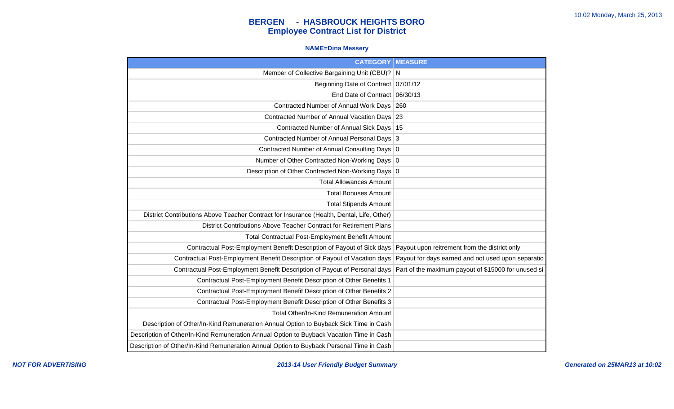### **NAME=Dina Messery**

| <b>CATEGORY   MEASURE</b>                                                                 |                                                     |
|-------------------------------------------------------------------------------------------|-----------------------------------------------------|
| Member of Collective Bargaining Unit (CBU)? N                                             |                                                     |
| Beginning Date of Contract 07/01/12                                                       |                                                     |
| End Date of Contract 06/30/13                                                             |                                                     |
| Contracted Number of Annual Work Days                                                     | 260                                                 |
| Contracted Number of Annual Vacation Days 23                                              |                                                     |
| Contracted Number of Annual Sick Days   15                                                |                                                     |
| Contracted Number of Annual Personal Days 3                                               |                                                     |
| Contracted Number of Annual Consulting Days 0                                             |                                                     |
| Number of Other Contracted Non-Working Days 0                                             |                                                     |
| Description of Other Contracted Non-Working Days 0                                        |                                                     |
| <b>Total Allowances Amount</b>                                                            |                                                     |
| <b>Total Bonuses Amount</b>                                                               |                                                     |
| <b>Total Stipends Amount</b>                                                              |                                                     |
| District Contributions Above Teacher Contract for Insurance (Health, Dental, Life, Other) |                                                     |
| District Contributions Above Teacher Contract for Retirement Plans                        |                                                     |
| Total Contractual Post-Employment Benefit Amount                                          |                                                     |
| Contractual Post-Employment Benefit Description of Payout of Sick days                    | Payout upon reitrement from the district only       |
| Contractual Post-Employment Benefit Description of Payout of Vacation days                | Payout for days earned and not used upon separatio  |
| Contractual Post-Employment Benefit Description of Payout of Personal days                | Part of the maximum payout of \$15000 for unused si |
| Contractual Post-Employment Benefit Description of Other Benefits 1                       |                                                     |
| Contractual Post-Employment Benefit Description of Other Benefits 2                       |                                                     |
| Contractual Post-Employment Benefit Description of Other Benefits 3                       |                                                     |
| Total Other/In-Kind Remuneration Amount                                                   |                                                     |
| Description of Other/In-Kind Remuneration Annual Option to Buyback Sick Time in Cash      |                                                     |
| Description of Other/In-Kind Remuneration Annual Option to Buyback Vacation Time in Cash  |                                                     |
| Description of Other/In-Kind Remuneration Annual Option to Buyback Personal Time in Cash  |                                                     |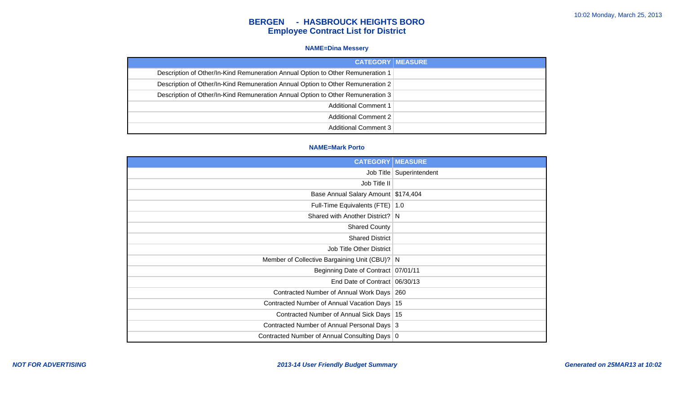#### **NAME=Dina Messery**

| <b>CATEGORY   MEASURE</b>                                                       |
|---------------------------------------------------------------------------------|
| Description of Other/In-Kind Remuneration Annual Option to Other Remuneration 1 |
| Description of Other/In-Kind Remuneration Annual Option to Other Remuneration 2 |
| Description of Other/In-Kind Remuneration Annual Option to Other Remuneration 3 |
| <b>Additional Comment 1</b>                                                     |
| <b>Additional Comment 2</b>                                                     |
| <b>Additional Comment 3</b>                                                     |

#### **NAME=Mark Porto**

| <b>CATEGORY</b>                                | <b>MEASURE</b>             |
|------------------------------------------------|----------------------------|
|                                                | Job Title   Superintendent |
| Job Title II                                   |                            |
| Base Annual Salary Amount \$174,404            |                            |
| Full-Time Equivalents (FTE)   1.0              |                            |
| Shared with Another District? N                |                            |
| <b>Shared County</b>                           |                            |
| <b>Shared District</b>                         |                            |
| Job Title Other District                       |                            |
| Member of Collective Bargaining Unit (CBU)? N  |                            |
| Beginning Date of Contract 07/01/11            |                            |
| End Date of Contract   06/30/13                |                            |
| Contracted Number of Annual Work Days   260    |                            |
| Contracted Number of Annual Vacation Days   15 |                            |
| Contracted Number of Annual Sick Days   15     |                            |
| Contracted Number of Annual Personal Days 3    |                            |
| Contracted Number of Annual Consulting Days 0  |                            |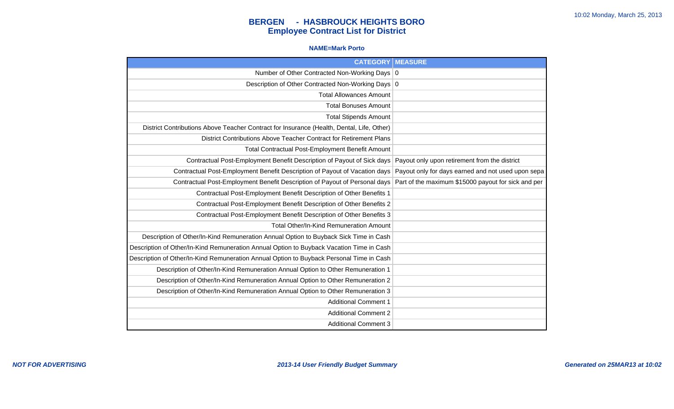#### **NAME=Mark Porto**

| <b>CATEGORY   MEASURE</b>                                                                 |                                                     |
|-------------------------------------------------------------------------------------------|-----------------------------------------------------|
| Number of Other Contracted Non-Working Days 0                                             |                                                     |
| Description of Other Contracted Non-Working Days 0                                        |                                                     |
| <b>Total Allowances Amount</b>                                                            |                                                     |
| <b>Total Bonuses Amount</b>                                                               |                                                     |
| <b>Total Stipends Amount</b>                                                              |                                                     |
| District Contributions Above Teacher Contract for Insurance (Health, Dental, Life, Other) |                                                     |
| District Contributions Above Teacher Contract for Retirement Plans                        |                                                     |
| Total Contractual Post-Employment Benefit Amount                                          |                                                     |
| Contractual Post-Employment Benefit Description of Payout of Sick days                    | Payout only upon retirement from the district       |
| Contractual Post-Employment Benefit Description of Payout of Vacation days                | Payout only for days earned and not used upon sepa  |
| Contractual Post-Employment Benefit Description of Payout of Personal days                | Part of the maximum \$15000 payout for sick and per |
| Contractual Post-Employment Benefit Description of Other Benefits 1                       |                                                     |
| Contractual Post-Employment Benefit Description of Other Benefits 2                       |                                                     |
| Contractual Post-Employment Benefit Description of Other Benefits 3                       |                                                     |
| Total Other/In-Kind Remuneration Amount                                                   |                                                     |
| Description of Other/In-Kind Remuneration Annual Option to Buyback Sick Time in Cash      |                                                     |
| Description of Other/In-Kind Remuneration Annual Option to Buyback Vacation Time in Cash  |                                                     |
| Description of Other/In-Kind Remuneration Annual Option to Buyback Personal Time in Cash  |                                                     |
| Description of Other/In-Kind Remuneration Annual Option to Other Remuneration 1           |                                                     |
| Description of Other/In-Kind Remuneration Annual Option to Other Remuneration 2           |                                                     |
| Description of Other/In-Kind Remuneration Annual Option to Other Remuneration 3           |                                                     |
| <b>Additional Comment 1</b>                                                               |                                                     |
| <b>Additional Comment 2</b>                                                               |                                                     |
| <b>Additional Comment 3</b>                                                               |                                                     |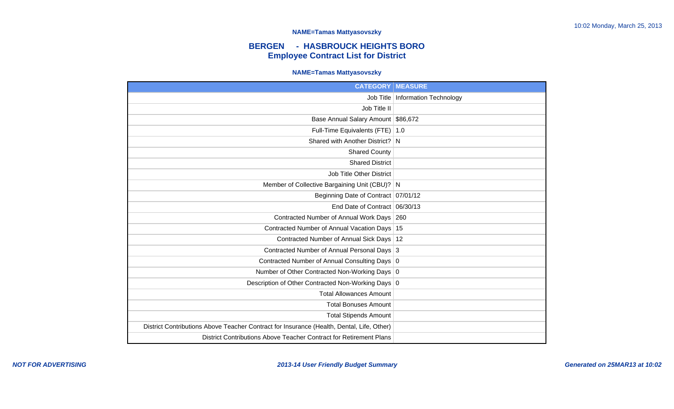#### **NAME=Tamas Mattyasovszky**

# **BERGEN - HASBROUCK HEIGHTS BORO Employee Contract List for District**

#### **NAME=Tamas Mattyasovszky**

| <b>CATEGORY</b>                                                                           | <b>MEASURE</b>                |
|-------------------------------------------------------------------------------------------|-------------------------------|
| Job Title                                                                                 | <b>Information Technology</b> |
| Job Title II                                                                              |                               |
| Base Annual Salary Amount \$86,672                                                        |                               |
| Full-Time Equivalents (FTE)                                                               | $\vert 1.0$                   |
| Shared with Another District? N                                                           |                               |
| <b>Shared County</b>                                                                      |                               |
| <b>Shared District</b>                                                                    |                               |
| <b>Job Title Other District</b>                                                           |                               |
| Member of Collective Bargaining Unit (CBU)? N                                             |                               |
| Beginning Date of Contract   07/01/12                                                     |                               |
| End Date of Contract 06/30/13                                                             |                               |
| Contracted Number of Annual Work Days 260                                                 |                               |
| Contracted Number of Annual Vacation Days 15                                              |                               |
| Contracted Number of Annual Sick Days   12                                                |                               |
| Contracted Number of Annual Personal Days 3                                               |                               |
| Contracted Number of Annual Consulting Days 0                                             |                               |
| Number of Other Contracted Non-Working Days 0                                             |                               |
| Description of Other Contracted Non-Working Days 0                                        |                               |
| <b>Total Allowances Amount</b>                                                            |                               |
| <b>Total Bonuses Amount</b>                                                               |                               |
| <b>Total Stipends Amount</b>                                                              |                               |
| District Contributions Above Teacher Contract for Insurance (Health, Dental, Life, Other) |                               |
| District Contributions Above Teacher Contract for Retirement Plans                        |                               |